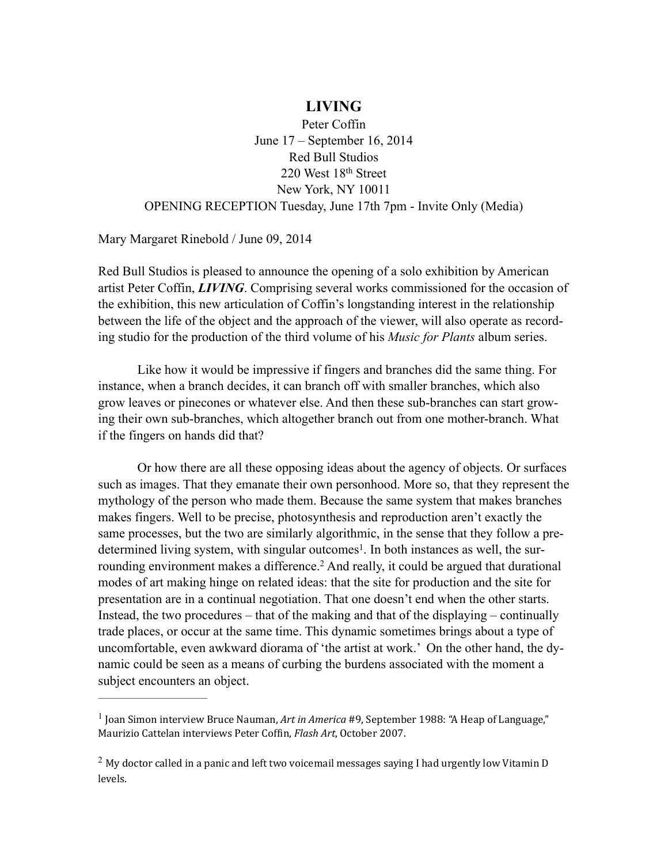## **LIVING**

Peter Coffin June 17 – September 16, 2014 Red Bull Studios 220 West 18th Street New York, NY 10011 OPENING RECEPTION Tuesday, June 17th 7pm - Invite Only (Media)

Mary Margaret Rinebold / June 09, 2014

Red Bull Studios is pleased to announce the opening of a solo exhibition by American artist Peter Coffin, *LIVING*. Comprising several works commissioned for the occasion of the exhibition, this new articulation of Coffin's longstanding interest in the relationship between the life of the object and the approach of the viewer, will also operate as recording studio for the production of the third volume of his *Music for Plants* album series.

Like how it would be impressive if fingers and branches did the same thing. For instance, when a branch decides, it can branch off with smaller branches, which also grow leaves or pinecones or whatever else. And then these sub-branches can start growing their own sub-branches, which altogether branch out from one mother-branch. What if the fingers on hands did that?

Or how there are all these opposing ideas about the agency of objects. Or surfaces such as images. That they emanate their own personhood. More so, that they represent the mythology of the person who made them. Because the same system that makes branches makes fingers. Well to be precise, photosynthesis and reproduction aren't exactly the same processes, but the two are similarly algorithmic, in the sense that they follow a predetermined living system, with singular outcomes<sup>1</sup>. In both instances as well, the surrounding environment makes a difference.<sup>2</sup> And really, it could be argued that durational modes of art making hinge on related ideas: that the site for production and the site for presentation are in a continual negotiation. That one doesn't end when the other starts. Instead, the two procedures – that of the making and that of the displaying – continually trade places, or occur at the same time. This dynamic sometimes brings about a type of uncomfortable, even awkward diorama of 'the artist at work.' On the other hand, the dynamic could be seen as a means of curbing the burdens associated with the moment a subject encounters an object.

<sup>&</sup>lt;sup>1</sup> Ioan Simon interview Bruce Nauman, Art in America #9, September 1988: "A Heap of Language," Maurizio Cattelan interviews Peter Coffin, *Flash Art*, October 2007.

 $2$  My doctor called in a panic and left two voicemail messages saying I had urgently low Vitamin D levels.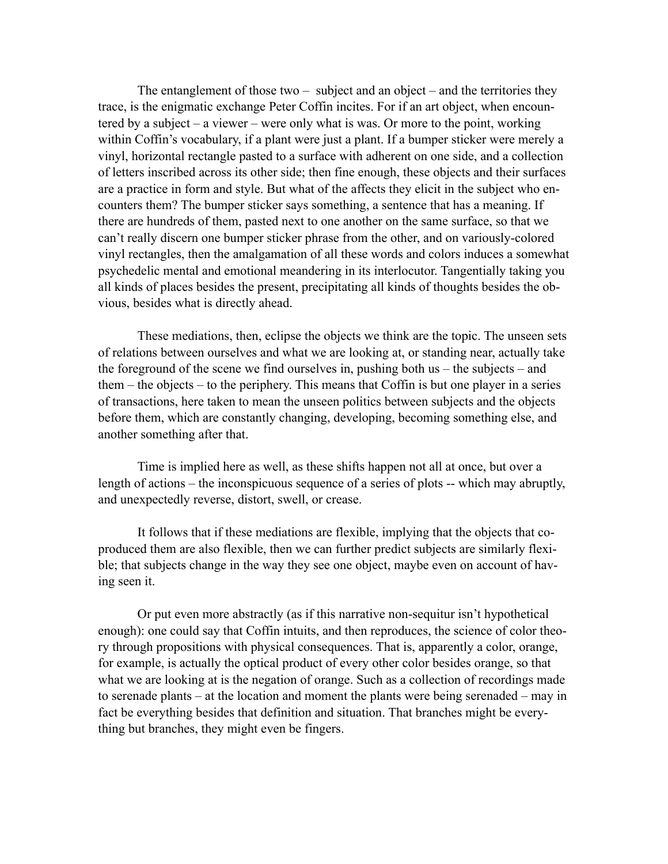The entanglement of those two – subject and an object – and the territories they trace, is the enigmatic exchange Peter Coffin incites. For if an art object, when encountered by a subject – a viewer – were only what is was. Or more to the point, working within Coffin's vocabulary, if a plant were just a plant. If a bumper sticker were merely a vinyl, horizontal rectangle pasted to a surface with adherent on one side, and a collection of letters inscribed across its other side; then fine enough, these objects and their surfaces are a practice in form and style. But what of the affects they elicit in the subject who encounters them? The bumper sticker says something, a sentence that has a meaning. If there are hundreds of them, pasted next to one another on the same surface, so that we can't really discern one bumper sticker phrase from the other, and on variously-colored vinyl rectangles, then the amalgamation of all these words and colors induces a somewhat psychedelic mental and emotional meandering in its interlocutor. Tangentially taking you all kinds of places besides the present, precipitating all kinds of thoughts besides the obvious, besides what is directly ahead.

These mediations, then, eclipse the objects we think are the topic. The unseen sets of relations between ourselves and what we are looking at, or standing near, actually take the foreground of the scene we find ourselves in, pushing both us – the subjects – and them – the objects – to the periphery. This means that Coffin is but one player in a series of transactions, here taken to mean the unseen politics between subjects and the objects before them, which are constantly changing, developing, becoming something else, and another something after that.

Time is implied here as well, as these shifts happen not all at once, but over a length of actions – the inconspicuous sequence of a series of plots -- which may abruptly, and unexpectedly reverse, distort, swell, or crease.

It follows that if these mediations are flexible, implying that the objects that coproduced them are also flexible, then we can further predict subjects are similarly flexible; that subjects change in the way they see one object, maybe even on account of having seen it.

Or put even more abstractly (as if this narrative non-sequitur isn't hypothetical enough): one could say that Coffin intuits, and then reproduces, the science of color theory through propositions with physical consequences. That is, apparently a color, orange, for example, is actually the optical product of every other color besides orange, so that what we are looking at is the negation of orange. Such as a collection of recordings made to serenade plants – at the location and moment the plants were being serenaded – may in fact be everything besides that definition and situation. That branches might be everything but branches, they might even be fingers.